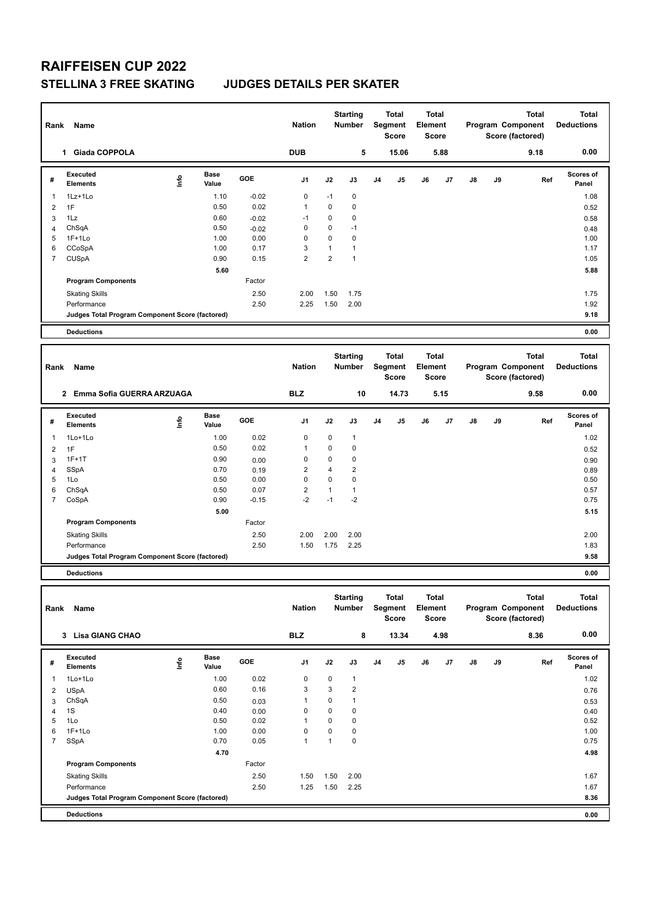### **STELLINA 3 FREE SKATING JUDGES DETAILS PER SKATER**

| Rank                | <b>Name</b>                                     |                          |                      |              | <b>Nation</b>       |                                | <b>Starting</b><br>Number    |                | <b>Total</b><br>Segment<br><b>Score</b> | Element | <b>Total</b><br><b>Score</b> |    | Program Component<br>Score (factored) | <b>Total</b><br><b>Deductions</b>              |                                   |
|---------------------|-------------------------------------------------|--------------------------|----------------------|--------------|---------------------|--------------------------------|------------------------------|----------------|-----------------------------------------|---------|------------------------------|----|---------------------------------------|------------------------------------------------|-----------------------------------|
|                     | 1 Giada COPPOLA                                 |                          |                      |              | <b>DUB</b>          |                                | 5                            |                | 15.06                                   |         | 5.88                         |    |                                       | 0.00                                           |                                   |
| #                   | Executed<br><b>Elements</b>                     | lnfo                     | <b>Base</b><br>Value | GOE          | J1                  | J2                             | J3                           | J4             | J5                                      | J6      | J7                           | J8 | J9                                    | Ref                                            | Scores of<br>Panel                |
| $\overline{1}$      | 1Lz+1Lo                                         |                          | 1.10                 | $-0.02$      | 0                   | -1                             | 0                            |                |                                         |         |                              |    |                                       |                                                | 1.08                              |
| $\overline{2}$      | 1F                                              |                          | 0.50                 | 0.02         | $\mathbf{1}$        | 0                              | $\mathbf 0$                  |                |                                         |         |                              |    |                                       |                                                | 0.52                              |
| 3                   | 1Lz                                             |                          | 0.60                 | $-0.02$      | $-1$                | 0                              | 0                            |                |                                         |         |                              |    |                                       |                                                | 0.58                              |
| 4                   | ChSqA                                           |                          | 0.50                 | $-0.02$      | 0                   | 0                              | $-1$                         |                |                                         |         |                              |    |                                       |                                                | 0.48                              |
| 5                   | $1F+1Lo$                                        |                          | 1.00                 | 0.00         | 0                   | $\mathbf 0$                    | 0                            |                |                                         |         |                              |    |                                       |                                                | 1.00                              |
| 6<br>7              | CCoSpA                                          |                          | 1.00<br>0.90         | 0.17<br>0.15 | 3<br>$\overline{2}$ | $\mathbf{1}$<br>$\overline{2}$ | $\mathbf{1}$<br>$\mathbf{1}$ |                |                                         |         |                              |    |                                       |                                                | 1.17<br>1.05                      |
|                     | <b>CUSpA</b>                                    |                          |                      |              |                     |                                |                              |                |                                         |         |                              |    |                                       |                                                |                                   |
|                     | <b>Program Components</b>                       |                          | 5.60                 | Factor       |                     |                                |                              |                |                                         |         |                              |    |                                       |                                                | 5.88                              |
|                     |                                                 |                          |                      | 2.50         |                     |                                |                              |                |                                         |         |                              |    |                                       |                                                | 1.75                              |
|                     | <b>Skating Skills</b><br>Performance            |                          |                      | 2.50         | 2.00<br>2.25        | 1.50<br>1.50                   | 1.75<br>2.00                 |                |                                         |         |                              |    |                                       |                                                | 1.92                              |
|                     | Judges Total Program Component Score (factored) |                          |                      |              |                     |                                |                              |                |                                         |         |                              |    |                                       |                                                | 9.18                              |
|                     | <b>Deductions</b>                               |                          |                      |              |                     |                                |                              |                |                                         |         |                              |    |                                       |                                                | 0.00                              |
|                     |                                                 |                          |                      |              |                     |                                |                              |                |                                         |         |                              |    |                                       |                                                |                                   |
|                     |                                                 |                          |                      |              |                     |                                | <b>Starting</b>              |                | <b>Total</b>                            |         | Total                        |    |                                       | <b>Total</b>                                   | <b>Total</b>                      |
| Rank                | <b>Name</b>                                     |                          |                      |              | <b>Nation</b>       |                                | Number                       |                | Segment<br><b>Score</b>                 | Element | Score                        |    |                                       | Program Component<br>Score (factored)          | <b>Deductions</b>                 |
|                     | 2 Emma Sofia GUERRA ARZUAGA                     |                          |                      |              | <b>BLZ</b>          |                                | 10                           |                | 14.73                                   |         | 5.15                         |    |                                       | 9.58                                           | 0.00                              |
|                     |                                                 |                          |                      |              |                     |                                |                              |                |                                         |         |                              |    |                                       |                                                |                                   |
| #                   | Executed<br><b>Elements</b>                     | $\mathop{\mathsf{Info}}$ | Base<br>Value        | GOE          | J1                  | J2                             | J3                           | J <sub>4</sub> | J5                                      | J6      | J7                           | J8 | J9                                    | Ref                                            | Scores of<br>Panel                |
| $\mathbf{1}$        | 1Lo+1Lo                                         |                          | 1.00                 | 0.02         | 0                   | 0                              | $\mathbf{1}$                 |                |                                         |         |                              |    |                                       |                                                | 1.02                              |
| 2                   | 1F                                              |                          | 0.50                 | 0.02         | $\mathbf{1}$        | 0                              | 0                            |                |                                         |         |                              |    |                                       |                                                | 0.52                              |
| 3                   | $1F+1T$                                         |                          | 0.90                 | 0.00         | 0                   | $\mathbf 0$                    | 0                            |                |                                         |         |                              |    |                                       |                                                | 0.90                              |
| 4<br>5              | SSpA<br>1Lo                                     |                          | 0.70<br>0.50         | 0.19<br>0.00 | 2<br>0              | $\overline{4}$<br>0            | $\overline{2}$<br>0          |                |                                         |         |                              |    |                                       |                                                | 0.89<br>0.50                      |
| 6                   | ChSqA                                           |                          | 0.50                 | 0.07         | $\overline{c}$      | $\mathbf{1}$                   | $\mathbf{1}$                 |                |                                         |         |                              |    |                                       |                                                | 0.57                              |
| $\overline{7}$      | CoSpA                                           |                          | 0.90                 | $-0.15$      | $-2$                | $-1$                           | $-2$                         |                |                                         |         |                              |    |                                       |                                                | 0.75                              |
|                     |                                                 |                          | 5.00                 |              |                     |                                |                              |                |                                         |         |                              |    |                                       |                                                | 5.15                              |
|                     | <b>Program Components</b>                       |                          |                      | Factor       |                     |                                |                              |                |                                         |         |                              |    |                                       |                                                |                                   |
|                     | <b>Skating Skills</b>                           |                          |                      | 2.50         | 2.00                | 2.00                           | 2.00                         |                |                                         |         |                              |    |                                       |                                                | 2.00                              |
|                     | Performance                                     |                          |                      | 2.50         | 1.50                | 1.75                           | 2.25                         |                |                                         |         |                              |    |                                       |                                                | 1.83                              |
|                     | Judges Total Program Component Score (factored) |                          |                      |              |                     |                                |                              |                |                                         |         |                              |    |                                       |                                                | 9.58                              |
|                     | <b>Deductions</b>                               |                          |                      |              |                     |                                |                              |                |                                         |         |                              |    |                                       |                                                | 0.00                              |
|                     |                                                 |                          |                      |              |                     |                                |                              |                |                                         |         |                              |    |                                       |                                                |                                   |
|                     | Rank Name                                       |                          |                      |              | <b>Nation</b>       |                                | <b>Starting</b><br>Number    |                | Total<br>Segment<br>Score               | Element | <b>Total</b><br>Score        |    |                                       | Total<br>Program Component<br>Score (factored) | <b>Total</b><br><b>Deductions</b> |
|                     | 3 Lisa GIANG CHAO                               |                          |                      |              | <b>BLZ</b>          |                                | 8                            |                | 13.34                                   |         | 4.98                         |    |                                       | 8.36                                           | 0.00                              |
|                     | Executed                                        |                          | Base                 |              |                     |                                |                              |                |                                         |         |                              |    |                                       |                                                | Scores of                         |
| #                   | Elements                                        | ١m                       | Value                | GOE          | J1                  | J2                             | J3                           | J4             | J5                                      | J6      | J7                           | J8 | J9                                    | Ref                                            | Panel                             |
| -1                  | 1Lo+1Lo                                         |                          | 1.00                 | 0.02         | 0                   | 0                              | $\mathbf{1}$                 |                |                                         |         |                              |    |                                       |                                                | 1.02                              |
| $\overline{2}$      | <b>USpA</b>                                     |                          | 0.60                 | 0.16         | 3                   | 3                              | $\boldsymbol{2}$             |                |                                         |         |                              |    |                                       |                                                | 0.76                              |
| 3                   | ChSqA                                           |                          | 0.50                 | 0.03         | $\mathbf{1}$        | 0                              | $\mathbf{1}$                 |                |                                         |         |                              |    |                                       |                                                | 0.53                              |
| 4                   | 1S                                              |                          | 0.40                 | 0.00         | 0                   | 0                              | 0                            |                |                                         |         |                              |    |                                       |                                                | 0.40                              |
| 5                   | 1Lo                                             |                          | 0.50                 | 0.02         | 1                   | 0                              | 0                            |                |                                         |         |                              |    |                                       |                                                | 0.52                              |
| 6<br>$\overline{7}$ | $1F+1Lo$<br>SSpA                                |                          | 1.00<br>0.70         | 0.00<br>0.05 | 0<br>$\mathbf{1}$   | 0<br>$\mathbf{1}$              | $\pmb{0}$<br>0               |                |                                         |         |                              |    |                                       |                                                | 1.00<br>0.75                      |
|                     |                                                 |                          | 4.70                 |              |                     |                                |                              |                |                                         |         |                              |    |                                       |                                                | 4.98                              |
|                     | <b>Program Components</b>                       |                          |                      | Factor       |                     |                                |                              |                |                                         |         |                              |    |                                       |                                                |                                   |
|                     |                                                 |                          |                      |              |                     |                                |                              |                |                                         |         |                              |    |                                       |                                                |                                   |
|                     | <b>Skating Skills</b><br>Performance            |                          |                      | 2.50<br>2.50 | 1.50<br>1.25        | 1.50<br>1.50                   | 2.00<br>2.25                 |                |                                         |         |                              |    |                                       |                                                | 1.67<br>1.67                      |
|                     | Judges Total Program Component Score (factored) |                          |                      |              |                     |                                |                              |                |                                         |         |                              |    |                                       |                                                | 8.36                              |
|                     |                                                 |                          |                      |              |                     |                                |                              |                |                                         |         |                              |    |                                       |                                                |                                   |
|                     | <b>Deductions</b>                               |                          |                      |              |                     |                                |                              |                |                                         |         |                              |    |                                       |                                                | 0.00                              |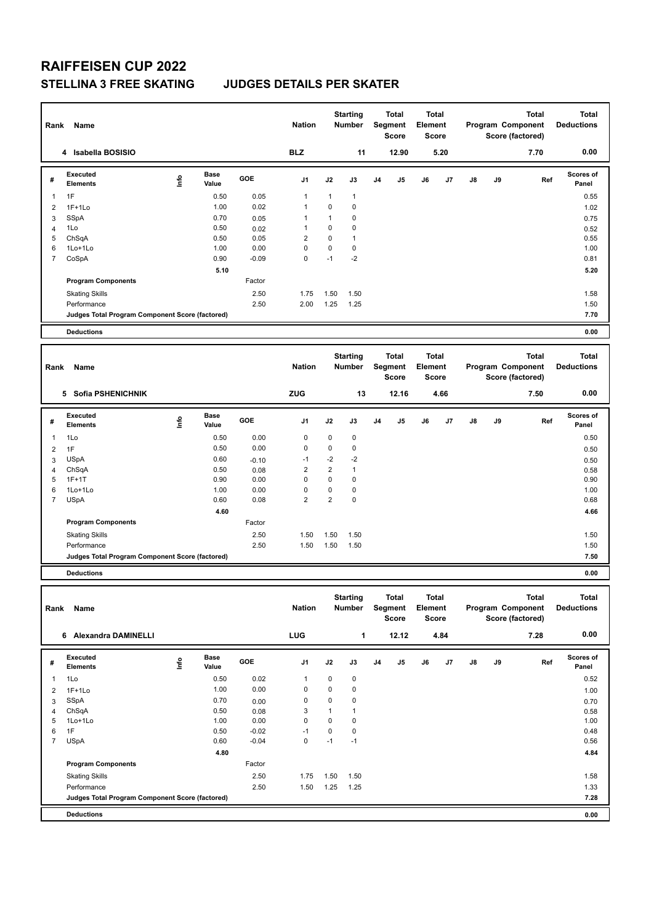### **STELLINA 3 FREE SKATING JUDGES DETAILS PER SKATER**

| Rank                | Name                                            |                                  |                      |              | <b>Nation</b>                 |                       | <b>Starting</b><br>Number |                | Total<br>Segment<br><b>Score</b> | Element | Total<br><b>Score</b>        | Program Component<br>Score (factored) |    | <b>Total</b>                                          | <b>Total</b><br><b>Deductions</b> |  |  |      |      |
|---------------------|-------------------------------------------------|----------------------------------|----------------------|--------------|-------------------------------|-----------------------|---------------------------|----------------|----------------------------------|---------|------------------------------|---------------------------------------|----|-------------------------------------------------------|-----------------------------------|--|--|------|------|
|                     | 4 Isabella BOSISIO                              |                                  |                      |              | <b>BLZ</b>                    |                       | 11                        |                | 12.90                            |         | 5.20                         |                                       |    | 7.70                                                  | 0.00                              |  |  |      |      |
| #                   | <b>Executed</b><br><b>Elements</b>              | $\mathop{\mathsf{Int}}\nolimits$ | <b>Base</b><br>Value | GOE          | J1                            | J2                    | J3                        | J <sub>4</sub> | J5                               | J6      | J7                           | J8                                    | J9 | Ref                                                   | Scores of<br>Panel                |  |  |      |      |
| 1                   | 1F                                              |                                  | 0.50                 | 0.05         | 1                             | $\mathbf{1}$          | 1                         |                |                                  |         |                              |                                       |    |                                                       | 0.55                              |  |  |      |      |
| $\overline{2}$      | $1F+1Lo$                                        |                                  | 1.00                 | 0.02         | 1                             | 0                     | 0                         |                |                                  |         |                              |                                       |    |                                                       | 1.02                              |  |  |      |      |
| 3                   | <b>SSpA</b>                                     |                                  | 0.70                 | 0.05         | 1                             | 1                     | 0                         |                |                                  |         |                              |                                       |    |                                                       | 0.75                              |  |  |      |      |
| 4                   | 1Lo                                             |                                  | 0.50                 | 0.02         | 1                             | 0                     | 0                         |                |                                  |         |                              |                                       |    |                                                       | 0.52                              |  |  |      |      |
| 5                   | ChSqA                                           |                                  | 0.50                 | 0.05         | $\overline{2}$                | 0                     | $\mathbf{1}$              |                |                                  |         |                              |                                       |    |                                                       | 0.55                              |  |  |      |      |
| 6                   | 1Lo+1Lo                                         |                                  | 1.00                 | 0.00         | 0                             | $\pmb{0}$             | 0                         |                |                                  |         |                              |                                       |    |                                                       | 1.00                              |  |  |      |      |
| 7                   | CoSpA                                           |                                  | 0.90                 | $-0.09$      | $\mathbf 0$                   | $-1$                  | $-2$                      |                |                                  |         |                              |                                       |    |                                                       | 0.81                              |  |  |      |      |
|                     |                                                 |                                  | 5.10                 |              |                               |                       |                           |                |                                  |         |                              |                                       |    |                                                       | 5.20                              |  |  |      |      |
|                     | <b>Program Components</b>                       |                                  |                      | Factor       |                               |                       |                           |                |                                  |         |                              |                                       |    |                                                       |                                   |  |  |      |      |
|                     | <b>Skating Skills</b>                           |                                  |                      | 2.50         | 1.75                          | 1.50                  | 1.50                      |                |                                  |         |                              |                                       |    |                                                       | 1.58                              |  |  |      |      |
|                     | Performance                                     |                                  |                      | 2.50         | 2.00                          | 1.25                  | 1.25                      |                |                                  |         |                              |                                       |    |                                                       | 1.50                              |  |  |      |      |
|                     | Judges Total Program Component Score (factored) |                                  |                      |              |                               |                       |                           |                |                                  |         |                              |                                       |    |                                                       | 7.70                              |  |  |      |      |
|                     | <b>Deductions</b>                               |                                  |                      |              |                               |                       |                           |                |                                  |         |                              |                                       |    |                                                       | 0.00                              |  |  |      |      |
|                     |                                                 |                                  |                      |              |                               |                       | <b>Starting</b>           |                | Total                            |         | <b>Total</b>                 |                                       |    | <b>Total</b>                                          | <b>Total</b>                      |  |  |      |      |
| Rank                | Name                                            |                                  |                      |              | <b>Nation</b>                 |                       | <b>Number</b>             |                | Segment<br><b>Score</b>          | Element | <b>Score</b>                 |                                       |    | Program Component<br>Score (factored)                 | <b>Deductions</b>                 |  |  |      |      |
|                     | 5 Sofia PSHENICHNIK                             |                                  |                      |              | ZUG                           |                       | 13                        |                | 12.16                            | 4.66    |                              |                                       |    |                                                       |                                   |  |  | 7.50 | 0.00 |
| #                   | Executed<br><b>Elements</b>                     | $\mathop{\mathsf{Int}}\nolimits$ | <b>Base</b><br>Value | GOE          | J1                            | J2                    | J3                        | J4             | J5                               | J6      | J7                           | J8                                    | J9 | Ref                                                   | <b>Scores of</b><br>Panel         |  |  |      |      |
| 1                   | 1Lo                                             |                                  | 0.50                 | 0.00         | $\pmb{0}$                     | $\pmb{0}$             | 0                         |                |                                  |         |                              |                                       |    |                                                       | 0.50                              |  |  |      |      |
| 2                   | 1F                                              |                                  | 0.50                 | 0.00         | $\pmb{0}$                     | $\pmb{0}$             | 0                         |                |                                  |         |                              |                                       |    |                                                       | 0.50                              |  |  |      |      |
| 3                   | <b>USpA</b>                                     |                                  | 0.60                 | $-0.10$      | $-1$                          | $-2$                  | $-2$                      |                |                                  |         |                              |                                       |    |                                                       | 0.50                              |  |  |      |      |
| 4                   | ChSqA                                           |                                  | 0.50                 | 0.08         | $\overline{2}$                | $\overline{2}$        | 1                         |                |                                  |         |                              |                                       |    |                                                       | 0.58                              |  |  |      |      |
| 5                   | $1F+1T$                                         |                                  | 0.90                 | 0.00         | $\mathbf 0$                   | $\mathbf 0$           | 0                         |                |                                  |         |                              |                                       |    |                                                       | 0.90                              |  |  |      |      |
| 6<br>$\overline{7}$ | 1Lo+1Lo                                         |                                  | 1.00                 | 0.00         | $\mathbf 0$<br>$\overline{2}$ | 0<br>$\boldsymbol{2}$ | 0<br>0                    |                |                                  |         |                              |                                       |    |                                                       | 1.00                              |  |  |      |      |
|                     | <b>USpA</b>                                     |                                  | 0.60<br>4.60         | 0.08         |                               |                       |                           |                |                                  |         |                              |                                       |    |                                                       | 0.68                              |  |  |      |      |
|                     | <b>Program Components</b>                       |                                  |                      | Factor       |                               |                       |                           |                |                                  |         |                              |                                       |    |                                                       | 4.66                              |  |  |      |      |
|                     |                                                 |                                  |                      |              |                               |                       |                           |                |                                  |         |                              |                                       |    |                                                       |                                   |  |  |      |      |
|                     | <b>Skating Skills</b><br>Performance            |                                  |                      | 2.50<br>2.50 | 1.50                          | 1.50                  | 1.50                      |                |                                  |         |                              |                                       |    |                                                       | 1.50                              |  |  |      |      |
|                     | Judges Total Program Component Score (factored) |                                  |                      |              | 1.50                          | 1.50                  | 1.50                      |                |                                  |         |                              |                                       |    |                                                       | 1.50<br>7.50                      |  |  |      |      |
|                     | <b>Deductions</b>                               |                                  |                      |              |                               |                       |                           |                |                                  |         |                              |                                       |    |                                                       | 0.00                              |  |  |      |      |
|                     |                                                 |                                  |                      |              |                               |                       |                           |                |                                  |         |                              |                                       |    |                                                       |                                   |  |  |      |      |
|                     | Rank Name                                       |                                  |                      |              | <b>Nation</b>                 |                       | <b>Starting</b><br>Number |                | Total<br>Segment<br>Score        | Element | <b>Total</b><br><b>Score</b> |                                       |    | <b>Total</b><br>Program Component<br>Score (factored) | <b>Total</b><br><b>Deductions</b> |  |  |      |      |
|                     | 6 Alexandra DAMINELLI                           |                                  |                      |              | LUG                           |                       | 1                         |                | 12.12                            |         | 4.84                         |                                       |    | 7.28                                                  | 0.00                              |  |  |      |      |
| #                   | Executed                                        | $\mathop{\mathsf{Info}}$         | Base                 | GOE          | J1                            | J2                    | J3                        | J4             | J5                               | J6      | J7                           | J8                                    | J9 | Ref                                                   | <b>Scores of</b>                  |  |  |      |      |
|                     | <b>Elements</b>                                 |                                  | Value                |              |                               |                       |                           |                |                                  |         |                              |                                       |    |                                                       | Panel                             |  |  |      |      |
| 1                   | 1Lo                                             |                                  | 0.50                 | 0.02         | 1                             | 0                     | 0                         |                |                                  |         |                              |                                       |    |                                                       | 0.52                              |  |  |      |      |
| $\overline{c}$      | $1F+1Lo$                                        |                                  | 1.00                 | 0.00         | 0                             | 0                     | 0                         |                |                                  |         |                              |                                       |    |                                                       | 1.00                              |  |  |      |      |
| 3                   | SSpA                                            |                                  | 0.70                 | 0.00         | 0                             | 0                     | 0                         |                |                                  |         |                              |                                       |    |                                                       | 0.70                              |  |  |      |      |
| 4<br>5              | ChSqA<br>1Lo+1Lo                                |                                  | 0.50<br>1.00         | 0.08<br>0.00 | 3<br>0                        | $\mathbf{1}$<br>0     | 1<br>0                    |                |                                  |         |                              |                                       |    |                                                       | 0.58<br>1.00                      |  |  |      |      |
| 6                   | 1F                                              |                                  | 0.50                 | $-0.02$      | -1                            | 0                     | 0                         |                |                                  |         |                              |                                       |    |                                                       | 0.48                              |  |  |      |      |
| $\overline{7}$      | <b>USpA</b>                                     |                                  | 0.60                 | $-0.04$      | 0                             | $-1$                  | $-1$                      |                |                                  |         |                              |                                       |    |                                                       | 0.56                              |  |  |      |      |
|                     |                                                 |                                  | 4.80                 |              |                               |                       |                           |                |                                  |         |                              |                                       |    |                                                       | 4.84                              |  |  |      |      |
|                     | <b>Program Components</b>                       |                                  |                      | Factor       |                               |                       |                           |                |                                  |         |                              |                                       |    |                                                       |                                   |  |  |      |      |
|                     | <b>Skating Skills</b>                           |                                  |                      | 2.50         | 1.75                          | 1.50                  | 1.50                      |                |                                  |         |                              |                                       |    |                                                       | 1.58                              |  |  |      |      |
|                     | Performance                                     |                                  |                      | 2.50         | 1.50                          | 1.25                  | 1.25                      |                |                                  |         |                              |                                       |    |                                                       | 1.33                              |  |  |      |      |
|                     | Judges Total Program Component Score (factored) |                                  |                      |              |                               |                       |                           |                |                                  |         |                              |                                       |    |                                                       | 7.28                              |  |  |      |      |
|                     |                                                 |                                  |                      |              |                               |                       |                           |                |                                  |         |                              |                                       |    |                                                       |                                   |  |  |      |      |
|                     | <b>Deductions</b>                               |                                  |                      |              |                               |                       |                           |                |                                  |         |                              |                                       |    |                                                       | 0.00                              |  |  |      |      |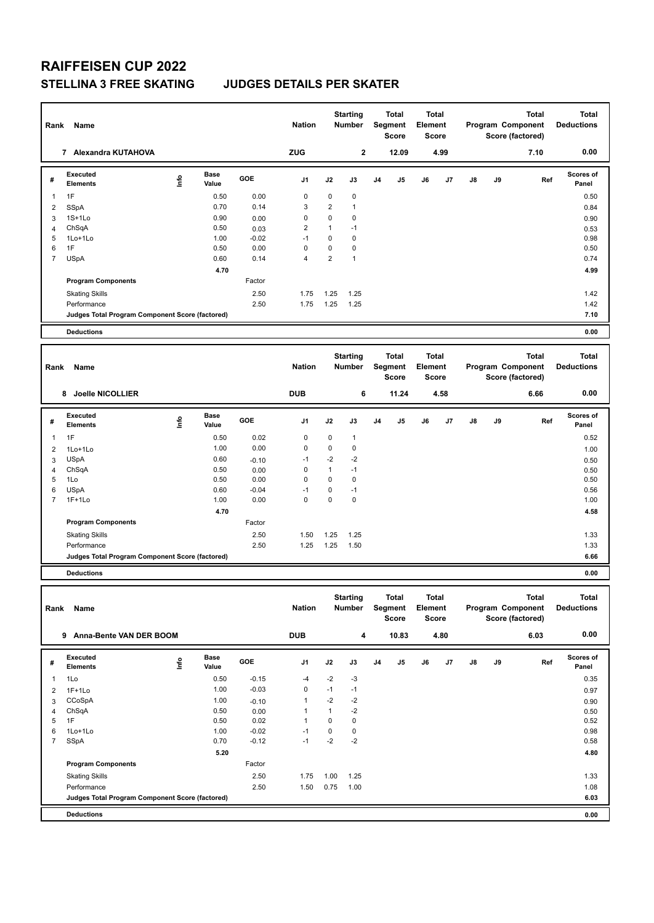#### **STELLINA 3 FREE SKATING JUDGES DETAILS PER SKATER**

| Rank                | Name                                            |      |                      |                 | <b>Nation</b>    |                             | <b>Starting</b><br>Number |    | Total<br>Segment<br><b>Score</b> | Element | Total<br><b>Score</b> |    | <b>Total</b><br>Program Component<br>Score (factored) |                                       | <b>Total</b><br><b>Deductions</b> |
|---------------------|-------------------------------------------------|------|----------------------|-----------------|------------------|-----------------------------|---------------------------|----|----------------------------------|---------|-----------------------|----|-------------------------------------------------------|---------------------------------------|-----------------------------------|
|                     | 7 Alexandra KUTAHOVA                            |      |                      |                 | ZUG              |                             | $\mathbf{2}$              |    | 12.09                            |         | 4.99                  |    |                                                       | 7.10                                  | 0.00                              |
| #                   | <b>Executed</b><br><b>Elements</b>              | lnfo | <b>Base</b><br>Value | GOE             | J1               | J2                          | J3                        | J4 | J5                               | J6      | J7                    | J8 | J9                                                    | Ref                                   | Scores of<br>Panel                |
| $\mathbf{1}$        | 1F                                              |      | 0.50                 | 0.00            | $\pmb{0}$        | $\pmb{0}$                   | 0                         |    |                                  |         |                       |    |                                                       |                                       | 0.50                              |
| $\overline{2}$      | <b>SSpA</b>                                     |      | 0.70                 | 0.14            | 3                | $\overline{2}$              | $\mathbf{1}$              |    |                                  |         |                       |    |                                                       |                                       | 0.84                              |
| 3                   | $1S+1Lo$                                        |      | 0.90                 | 0.00            | $\pmb{0}$        | $\pmb{0}$                   | 0                         |    |                                  |         |                       |    |                                                       |                                       | 0.90                              |
| 4                   | ChSqA                                           |      | 0.50                 | 0.03            | $\overline{2}$   | $\mathbf{1}$                | $-1$                      |    |                                  |         |                       |    |                                                       |                                       | 0.53                              |
| 5                   | 1Lo+1Lo                                         |      | 1.00                 | $-0.02$         | $-1$             | 0                           | 0                         |    |                                  |         |                       |    |                                                       |                                       | 0.98                              |
| 6<br>$\overline{7}$ | 1F<br><b>USpA</b>                               |      | 0.50<br>0.60         | 0.00<br>0.14    | $\mathbf 0$<br>4 | $\pmb{0}$<br>$\overline{2}$ | 0<br>$\mathbf{1}$         |    |                                  |         |                       |    |                                                       |                                       | 0.50<br>0.74                      |
|                     |                                                 |      | 4.70                 |                 |                  |                             |                           |    |                                  |         |                       |    |                                                       |                                       | 4.99                              |
|                     | <b>Program Components</b>                       |      |                      | Factor          |                  |                             |                           |    |                                  |         |                       |    |                                                       |                                       |                                   |
|                     | <b>Skating Skills</b>                           |      |                      | 2.50            | 1.75             | 1.25                        | 1.25                      |    |                                  |         |                       |    |                                                       |                                       | 1.42                              |
|                     | Performance                                     |      |                      | 2.50            | 1.75             | 1.25                        | 1.25                      |    |                                  |         |                       |    |                                                       |                                       | 1.42                              |
|                     | Judges Total Program Component Score (factored) |      |                      |                 |                  |                             |                           |    |                                  |         |                       |    |                                                       |                                       | 7.10                              |
|                     | <b>Deductions</b>                               |      |                      |                 |                  |                             |                           |    |                                  |         |                       |    |                                                       |                                       | 0.00                              |
|                     |                                                 |      |                      |                 |                  |                             |                           |    |                                  |         |                       |    |                                                       |                                       |                                   |
| Rank                | Name                                            |      |                      |                 | <b>Nation</b>    |                             | <b>Starting</b><br>Number |    | <b>Total</b><br>Segment          | Element | Total                 |    |                                                       | <b>Total</b><br>Program Component     | <b>Total</b><br><b>Deductions</b> |
|                     | Joelle NICOLLIER<br>8                           |      |                      |                 | <b>DUB</b>       |                             | 6                         |    | <b>Score</b><br>11.24            |         | Score<br>4.58         |    |                                                       | Score (factored)<br>6.66              | 0.00                              |
|                     |                                                 |      |                      |                 |                  |                             |                           |    |                                  |         |                       |    |                                                       |                                       |                                   |
| #                   | <b>Executed</b><br><b>Elements</b>              | lnfo | Base<br>Value        | GOE             | J1               | J2                          | J3                        | J4 | J5                               | J6      | J7                    | J8 | J9                                                    | Ref                                   | Scores of<br>Panel                |
| 1                   | 1F                                              |      | 0.50                 | 0.02            | 0                | 0                           | 1                         |    |                                  |         |                       |    |                                                       |                                       | 0.52                              |
| $\overline{2}$      | 1Lo+1Lo                                         |      | 1.00                 | 0.00            | $\pmb{0}$        | $\pmb{0}$                   | 0                         |    |                                  |         |                       |    |                                                       |                                       | 1.00                              |
| 3                   | <b>USpA</b><br>ChSqA                            |      | 0.60<br>0.50         | $-0.10$<br>0.00 | $-1$<br>0        | $-2$<br>$\mathbf{1}$        | $-2$<br>$-1$              |    |                                  |         |                       |    |                                                       |                                       | 0.50                              |
| $\overline{4}$<br>5 | 1Lo                                             |      | 0.50                 | 0.00            | 0                | $\mathbf 0$                 | 0                         |    |                                  |         |                       |    |                                                       |                                       | 0.50<br>0.50                      |
| 6                   | <b>USpA</b>                                     |      | 0.60                 | $-0.04$         | $-1$             | $\mathbf 0$                 | $-1$                      |    |                                  |         |                       |    |                                                       |                                       | 0.56                              |
| $\overline{7}$      | $1F+1Lo$                                        |      | 1.00                 | 0.00            | $\mathbf 0$      | $\mathbf 0$                 | 0                         |    |                                  |         |                       |    |                                                       |                                       | 1.00                              |
|                     |                                                 |      | 4.70                 |                 |                  |                             |                           |    |                                  |         |                       |    |                                                       |                                       | 4.58                              |
|                     | <b>Program Components</b>                       |      |                      | Factor          |                  |                             |                           |    |                                  |         |                       |    |                                                       |                                       |                                   |
|                     | <b>Skating Skills</b>                           |      |                      | 2.50            | 1.50             | 1.25                        | 1.25                      |    |                                  |         |                       |    |                                                       |                                       | 1.33                              |
|                     | Performance                                     |      |                      | 2.50            | 1.25             | 1.25                        | 1.50                      |    |                                  |         |                       |    |                                                       |                                       | 1.33                              |
|                     | Judges Total Program Component Score (factored) |      |                      |                 |                  |                             |                           |    |                                  |         |                       |    |                                                       |                                       | 6.66                              |
|                     | <b>Deductions</b>                               |      |                      |                 |                  |                             |                           |    |                                  |         |                       |    |                                                       |                                       | 0.00                              |
|                     |                                                 |      |                      |                 |                  |                             | <b>Starting</b>           |    | Total                            |         | Total                 |    |                                                       | Total                                 | <b>Total</b>                      |
|                     | Rank Name                                       |      |                      |                 | <b>Nation</b>    |                             | Number                    |    | Segment<br>Score                 | Element | Score                 |    |                                                       | Program Component<br>Score (factored) | <b>Deductions</b>                 |
|                     | 9 Anna-Bente VAN DER BOOM                       |      |                      |                 | <b>DUB</b>       |                             | 4                         |    | 10.83                            |         | 4.80                  |    |                                                       | 6.03                                  | 0.00                              |
|                     | Executed                                        |      | Base                 |                 |                  |                             |                           |    |                                  |         |                       |    |                                                       |                                       | Scores of                         |
| #                   | <b>Elements</b>                                 | ۴d   | Value                | GOE             | J1               | J2                          | J3                        | J4 | J5                               | J6      | J7                    | J8 | J9                                                    | Ref                                   | Panel                             |
| 1                   | 1Lo                                             |      | 0.50                 | $-0.15$         | -4               | -2                          | $-3$                      |    |                                  |         |                       |    |                                                       |                                       | 0.35                              |
| $\overline{2}$      | $1F+1Lo$                                        |      | 1.00                 | $-0.03$         | 0                | $-1$                        | $-1$                      |    |                                  |         |                       |    |                                                       |                                       | 0.97                              |
| 3                   | CCoSpA                                          |      | 1.00                 | $-0.10$         | 1                | $-2$                        | $-2$                      |    |                                  |         |                       |    |                                                       |                                       | 0.90                              |
| 4<br>5              | ChSqA<br>1F                                     |      | 0.50<br>0.50         | 0.00<br>0.02    | 1<br>1           | $\mathbf{1}$<br>0           | $-2$<br>0                 |    |                                  |         |                       |    |                                                       |                                       | 0.50<br>0.52                      |
| 6                   | 1Lo+1Lo                                         |      | 1.00                 | $-0.02$         | $-1$             | 0                           | 0                         |    |                                  |         |                       |    |                                                       |                                       | 0.98                              |
| $\overline{7}$      | SSpA                                            |      | 0.70                 | $-0.12$         | $-1$             | $-2$                        | $-2$                      |    |                                  |         |                       |    |                                                       |                                       | 0.58                              |
|                     |                                                 |      | 5.20                 |                 |                  |                             |                           |    |                                  |         |                       |    |                                                       |                                       | 4.80                              |
|                     | <b>Program Components</b>                       |      |                      | Factor          |                  |                             |                           |    |                                  |         |                       |    |                                                       |                                       |                                   |
|                     | <b>Skating Skills</b>                           |      |                      | 2.50            | 1.75             | 1.00                        | 1.25                      |    |                                  |         |                       |    |                                                       |                                       | 1.33                              |
|                     | Performance                                     |      |                      | 2.50            | 1.50             | 0.75                        | 1.00                      |    |                                  |         |                       |    |                                                       |                                       | 1.08                              |
|                     | Judges Total Program Component Score (factored) |      |                      |                 |                  |                             |                           |    |                                  |         |                       |    |                                                       |                                       | 6.03                              |
|                     | <b>Deductions</b>                               |      |                      |                 |                  |                             |                           |    |                                  |         |                       |    |                                                       |                                       | 0.00                              |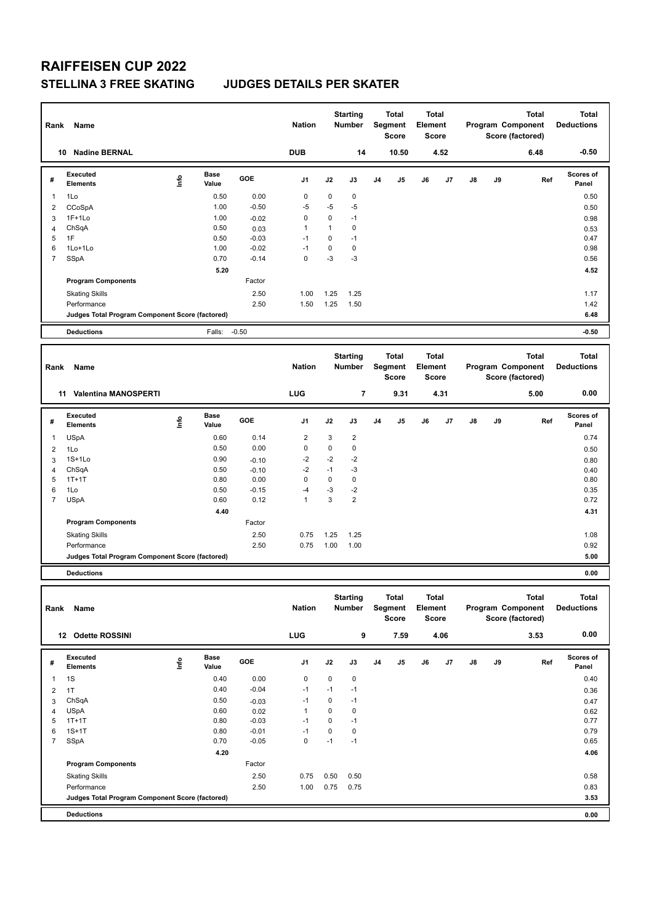#### **STELLINA 3 FREE SKATING JUDGES DETAILS PER SKATER**

| Rank                | Name                                            |      |                      |                    | <b>Nation</b>       |                   | <b>Starting</b><br>Number        |       | <b>Total</b><br>Segment<br><b>Score</b> | Element | <b>Total</b><br><b>Score</b> |    | <b>Total</b><br>Program Component<br>Score (factored) |                                                       | <b>Total</b><br><b>Deductions</b> |
|---------------------|-------------------------------------------------|------|----------------------|--------------------|---------------------|-------------------|----------------------------------|-------|-----------------------------------------|---------|------------------------------|----|-------------------------------------------------------|-------------------------------------------------------|-----------------------------------|
|                     | 10 Nadine BERNAL                                |      |                      | <b>DUB</b>         |                     | 14                |                                  | 10.50 | 4.52                                    |         |                              |    | 6.48                                                  | $-0.50$                                               |                                   |
| #                   | <b>Executed</b><br><b>Elements</b>              | lnfo | <b>Base</b><br>Value | GOE                | J1                  | J2                | J3                               | J4    | J5                                      | J6      | J7                           | J8 | J9                                                    | Ref                                                   | Scores of<br>Panel                |
| -1                  | 1Lo                                             |      | 0.50                 | 0.00               | 0                   | $\mathbf 0$       | 0                                |       |                                         |         |                              |    |                                                       |                                                       | 0.50                              |
| 2                   | CCoSpA                                          |      | 1.00                 | $-0.50$            | $-5$                | -5                | -5                               |       |                                         |         |                              |    |                                                       |                                                       | 0.50                              |
| 3                   | $1F+1Lo$                                        |      | 1.00                 | $-0.02$            | 0                   | 0                 | $-1$                             |       |                                         |         |                              |    |                                                       |                                                       | 0.98                              |
| 4                   | ChSqA                                           |      | 0.50                 | 0.03               | $\mathbf{1}$        | $\mathbf{1}$      | 0                                |       |                                         |         |                              |    |                                                       |                                                       | 0.53                              |
| 5                   | 1F                                              |      | 0.50                 | $-0.03$            | $-1$                | $\mathbf 0$       | $-1$                             |       |                                         |         |                              |    |                                                       |                                                       | 0.47                              |
| 6<br>7              | 1Lo+1Lo                                         |      | 1.00<br>0.70         | $-0.02$<br>$-0.14$ | $-1$<br>$\mathbf 0$ | $\mathbf 0$<br>-3 | 0<br>$-3$                        |       |                                         |         |                              |    |                                                       |                                                       | 0.98<br>0.56                      |
|                     | SSpA                                            |      | 5.20                 |                    |                     |                   |                                  |       |                                         |         |                              |    |                                                       |                                                       | 4.52                              |
|                     | <b>Program Components</b>                       |      |                      | Factor             |                     |                   |                                  |       |                                         |         |                              |    |                                                       |                                                       |                                   |
|                     | <b>Skating Skills</b>                           |      |                      | 2.50               | 1.00                | 1.25              | 1.25                             |       |                                         |         |                              |    |                                                       |                                                       | 1.17                              |
|                     | Performance                                     |      |                      | 2.50               | 1.50                | 1.25              | 1.50                             |       |                                         |         |                              |    |                                                       |                                                       | 1.42                              |
|                     | Judges Total Program Component Score (factored) |      |                      |                    |                     |                   |                                  |       |                                         |         |                              |    |                                                       |                                                       | 6.48                              |
|                     | <b>Deductions</b>                               |      | Falls:               | $-0.50$            |                     |                   |                                  |       |                                         |         |                              |    |                                                       |                                                       | $-0.50$                           |
|                     |                                                 |      |                      |                    |                     |                   |                                  |       |                                         |         |                              |    |                                                       |                                                       |                                   |
| Rank                | Name                                            |      |                      |                    | <b>Nation</b>       |                   | <b>Starting</b><br><b>Number</b> |       | <b>Total</b><br>Segment<br><b>Score</b> | Element | <b>Total</b><br><b>Score</b> |    |                                                       | <b>Total</b><br>Program Component<br>Score (factored) | <b>Total</b><br><b>Deductions</b> |
|                     | 11 Valentina MANOSPERTI                         |      |                      |                    | LUG                 |                   | 7                                |       | 9.31                                    |         | 4.31                         |    |                                                       | 5.00                                                  | 0.00                              |
| #                   | Executed<br><b>Elements</b>                     | lnfo | Base<br>Value        | GOE                | J1                  | J2                | J3                               | J4    | J5                                      | J6      | J7                           | J8 | J9                                                    | Ref                                                   | Scores of<br>Panel                |
| 1                   | <b>USpA</b>                                     |      | 0.60                 | 0.14               | $\overline{2}$      | 3                 | 2                                |       |                                         |         |                              |    |                                                       |                                                       | 0.74                              |
| 2                   | 1Lo                                             |      | 0.50                 | 0.00               | 0                   | $\mathbf 0$       | 0                                |       |                                         |         |                              |    |                                                       |                                                       | 0.50                              |
| 3                   | $1S+1Lo$                                        |      | 0.90                 | $-0.10$            | -2                  | $-2$              | $-2$                             |       |                                         |         |                              |    |                                                       |                                                       | 0.80                              |
| 4                   | ChSqA                                           |      | 0.50                 | $-0.10$            | $-2$                | $-1$              | $-3$                             |       |                                         |         |                              |    |                                                       |                                                       | 0.40                              |
| 5                   | $1T+1T$                                         |      | 0.80                 | 0.00               | $\mathbf 0$         | $\mathbf 0$       | $\mathbf 0$                      |       |                                         |         |                              |    |                                                       |                                                       | 0.80                              |
| 6<br>$\overline{7}$ | 1Lo<br><b>USpA</b>                              |      | 0.50<br>0.60         | $-0.15$<br>0.12    | -4<br>1             | -3<br>3           | $-2$<br>$\overline{2}$           |       |                                         |         |                              |    |                                                       |                                                       | 0.35<br>0.72                      |
|                     |                                                 |      | 4.40                 |                    |                     |                   |                                  |       |                                         |         |                              |    |                                                       |                                                       | 4.31                              |
|                     | <b>Program Components</b>                       |      |                      | Factor             |                     |                   |                                  |       |                                         |         |                              |    |                                                       |                                                       |                                   |
|                     | <b>Skating Skills</b>                           |      |                      | 2.50               | 0.75                | 1.25              | 1.25                             |       |                                         |         |                              |    |                                                       |                                                       | 1.08                              |
|                     | Performance                                     |      |                      | 2.50               | 0.75                | 1.00              | 1.00                             |       |                                         |         |                              |    |                                                       |                                                       | 0.92                              |
|                     | Judges Total Program Component Score (factored) |      |                      |                    |                     |                   |                                  |       |                                         |         |                              |    |                                                       |                                                       | 5.00                              |
|                     | <b>Deductions</b>                               |      |                      |                    |                     |                   |                                  |       |                                         |         |                              |    |                                                       |                                                       | 0.00                              |
|                     |                                                 |      |                      |                    |                     |                   |                                  |       |                                         |         |                              |    |                                                       |                                                       |                                   |
|                     | Rank Name                                       |      |                      |                    | Nation              |                   | <b>Starting</b><br>Number        |       | Total<br>Segment<br>Score               | Element | <b>Total</b><br>Score        |    |                                                       | <b>Total</b><br>Program Component<br>Score (factored) | <b>Total</b><br><b>Deductions</b> |
|                     | 12 Odette ROSSINI                               |      |                      |                    | <b>LUG</b>          |                   | 9                                |       | 7.59                                    |         | 4.06                         |    |                                                       | 3.53                                                  | 0.00                              |
|                     |                                                 |      |                      |                    |                     |                   |                                  |       |                                         |         |                              |    |                                                       |                                                       |                                   |
| #                   | Executed<br><b>Elements</b>                     | Life | Base<br>Value        | GOE                | J1                  | J2                | J3                               | J4    | J5                                      | J6      | J7                           | J8 | J9                                                    | Ref                                                   | Scores of<br>Panel                |
| 1                   | 1S                                              |      | 0.40                 | 0.00               | 0                   | $\mathbf 0$       | 0                                |       |                                         |         |                              |    |                                                       |                                                       | 0.40                              |
| $\overline{2}$      | 1T                                              |      | 0.40                 | $-0.04$            | $-1$                | $-1$              | $-1$                             |       |                                         |         |                              |    |                                                       |                                                       | 0.36                              |
| 3                   | ChSqA                                           |      | 0.50                 | $-0.03$            | $-1$                | 0                 | $-1$                             |       |                                         |         |                              |    |                                                       |                                                       | 0.47                              |
| 4                   | USpA                                            |      | 0.60                 | 0.02               | $\mathbf{1}$        | 0                 | 0                                |       |                                         |         |                              |    |                                                       |                                                       | 0.62                              |
| 5                   | $1T+1T$                                         |      | 0.80                 | $-0.03$            | $-1$                | $\pmb{0}$         | $-1$                             |       |                                         |         |                              |    |                                                       |                                                       | 0.77                              |
| 6                   | $1S+1T$                                         |      | 0.80                 | $-0.01$            | $-1$                | $\pmb{0}$         | 0                                |       |                                         |         |                              |    |                                                       |                                                       | 0.79                              |
| $\overline{7}$      | SSpA                                            |      | 0.70                 | $-0.05$            | 0                   | $-1$              | $-1$                             |       |                                         |         |                              |    |                                                       |                                                       | 0.65                              |
|                     |                                                 |      | 4.20                 |                    |                     |                   |                                  |       |                                         |         |                              |    |                                                       |                                                       | 4.06                              |
|                     | <b>Program Components</b>                       |      |                      | Factor             |                     |                   |                                  |       |                                         |         |                              |    |                                                       |                                                       |                                   |
|                     | <b>Skating Skills</b>                           |      |                      | 2.50               | 0.75                | 0.50              | 0.50                             |       |                                         |         |                              |    |                                                       |                                                       | 0.58                              |
|                     | Performance                                     |      |                      | 2.50               | 1.00                | 0.75              | 0.75                             |       |                                         |         |                              |    |                                                       |                                                       | 0.83                              |
|                     | Judges Total Program Component Score (factored) |      |                      |                    |                     |                   |                                  |       |                                         |         |                              |    |                                                       |                                                       | 3.53                              |

**Deductions 0.00**